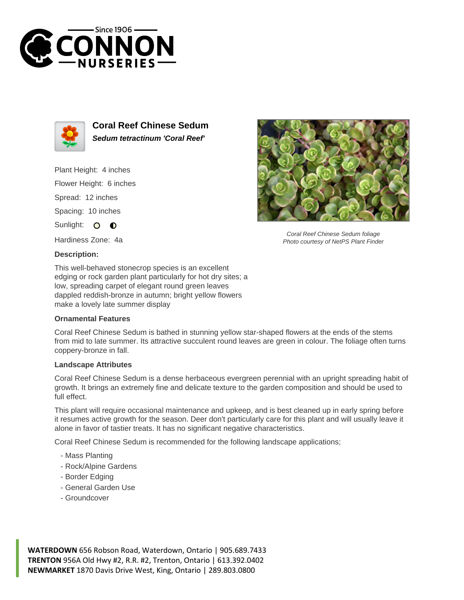



**Coral Reef Chinese Sedum Sedum tetractinum 'Coral Reef'**

Plant Height: 4 inches

Flower Height: 6 inches

Spread: 12 inches

Spacing: 10 inches

Sunlight: O  $\bullet$ 

Hardiness Zone: 4a

## **Description:**

This well-behaved stonecrop species is an excellent edging or rock garden plant particularly for hot dry sites; a low, spreading carpet of elegant round green leaves dappled reddish-bronze in autumn; bright yellow flowers make a lovely late summer display

## **Ornamental Features**

Coral Reef Chinese Sedum is bathed in stunning yellow star-shaped flowers at the ends of the stems from mid to late summer. Its attractive succulent round leaves are green in colour. The foliage often turns coppery-bronze in fall.

## **Landscape Attributes**

Coral Reef Chinese Sedum is a dense herbaceous evergreen perennial with an upright spreading habit of growth. It brings an extremely fine and delicate texture to the garden composition and should be used to full effect.

This plant will require occasional maintenance and upkeep, and is best cleaned up in early spring before it resumes active growth for the season. Deer don't particularly care for this plant and will usually leave it alone in favor of tastier treats. It has no significant negative characteristics.

Coral Reef Chinese Sedum is recommended for the following landscape applications;

- Mass Planting
- Rock/Alpine Gardens
- Border Edging
- General Garden Use
- Groundcover



Coral Reef Chinese Sedum foliage Photo courtesy of NetPS Plant Finder

**WATERDOWN** 656 Robson Road, Waterdown, Ontario | 905.689.7433 **TRENTON** 956A Old Hwy #2, R.R. #2, Trenton, Ontario | 613.392.0402 **NEWMARKET** 1870 Davis Drive West, King, Ontario | 289.803.0800